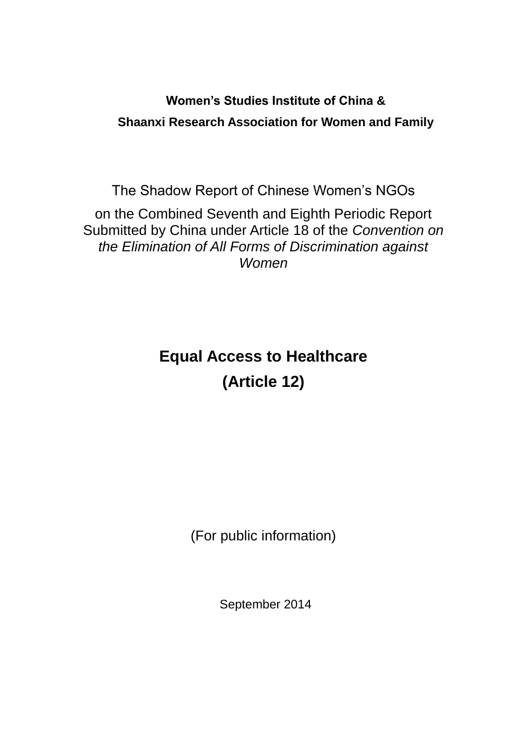# **Women's Studies Institute of China & Shaanxi Research Association for Women and Family**

The Shadow Report of Chinese Women's NGOs on the Combined Seventh and Eighth Periodic Report Submitted by China under Article 18 of the *Convention on the Elimination of All Forms of Discrimination against Women*

# **Equal Access to Healthcare (Article 12)**

(For public information)

September 2014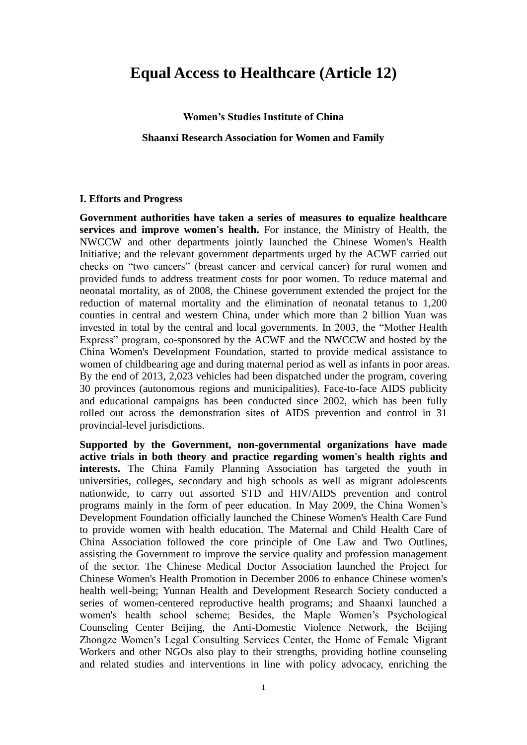### **Equal Access to Healthcare (Article 12)**

**Women's Studies Institute of China**

#### **Shaanxi Research Association for Women and Family**

#### **I. Efforts and Progress**

**Government authorities have taken a series of measures to equalize healthcare services and improve women's health.** For instance, the Ministry of Health, the NWCCW and other departments jointly launched the Chinese Women's Health Initiative; and the relevant government departments urged by the ACWF carried out checks on "two cancers" (breast cancer and cervical cancer) for rural women and provided funds to address treatment costs for poor women. To reduce maternal and neonatal mortality, as of 2008, the Chinese government extended the project for the reduction of maternal mortality and the elimination of neonatal tetanus to 1,200 counties in central and western China, under which more than 2 billion Yuan was invested in total by the central and local governments. In 2003, the "Mother Health Express" program, co-sponsored by the ACWF and the NWCCW and hosted by the China Women's Development Foundation, started to provide medical assistance to women of childbearing age and during maternal period as well as infants in poor areas. By the end of 2013, 2,023 vehicles had been dispatched under the program, covering 30 provinces (autonomous regions and municipalities). Face-to-face AIDS publicity and educational campaigns has been conducted since 2002, which has been fully rolled out across the demonstration sites of AIDS prevention and control in 31 provincial-level jurisdictions.

**Supported by the Government, non-governmental organizations have made active trials in both theory and practice regarding women's health rights and interests.** The China Family Planning Association has targeted the youth in universities, colleges, secondary and high schools as well as migrant adolescents nationwide, to carry out assorted STD and HIV/AIDS prevention and control programs mainly in the form of peer education. In May 2009, the China Women's Development Foundation officially launched the Chinese Women's Health Care Fund to provide women with health education. The Maternal and Child Health Care of China Association followed the core principle of One Law and Two Outlines, assisting the Government to improve the service quality and profession management of the sector. The Chinese Medical Doctor Association launched the Project for Chinese Women's Health Promotion in December 2006 to enhance Chinese women's health well-being; Yunnan Health and Development Research Society conducted a series of women-centered reproductive health programs; and Shaanxi launched a women's health school scheme; Besides, the Maple Women's Psychological Counseling Center Beijing, the Anti-Domestic Violence Network, the Beijing Zhongze Women's Legal Consulting Services Center, the Home of Female Migrant Workers and other NGOs also play to their strengths, providing hotline counseling and related studies and interventions in line with policy advocacy, enriching the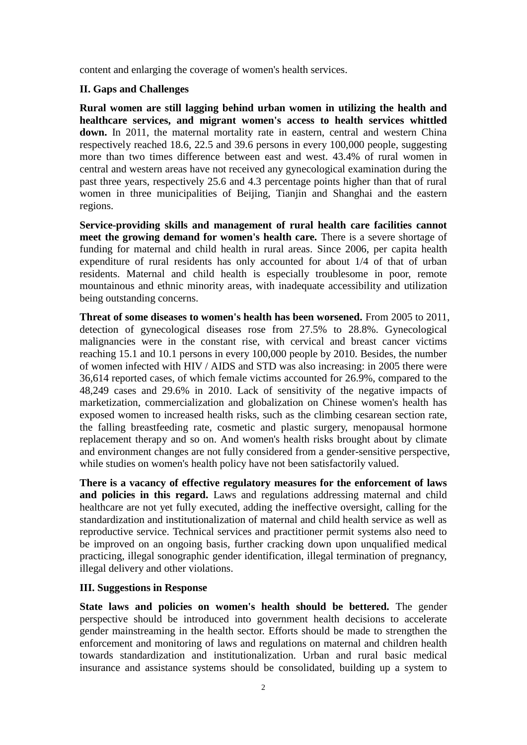content and enlarging the coverage of women's health services.

#### **II. Gaps and Challenges**

**Rural women are still lagging behind urban women in utilizing the health and healthcare services, and migrant women's access to health services whittled down.** In 2011, the maternal mortality rate in eastern, central and western China respectively reached 18.6, 22.5 and 39.6 persons in every 100,000 people, suggesting more than two times difference between east and west. 43.4% of rural women in central and western areas have not received any gynecological examination during the past three years, respectively 25.6 and 4.3 percentage points higher than that of rural women in three municipalities of Beijing, Tianjin and Shanghai and the eastern regions.

**Service-providing skills and management of rural health care facilities cannot meet the growing demand for women's health care.** There is a severe shortage of funding for maternal and child health in rural areas. Since 2006, per capita health expenditure of rural residents has only accounted for about 1/4 of that of urban residents. Maternal and child health is especially troublesome in poor, remote mountainous and ethnic minority areas, with inadequate accessibility and utilization being outstanding concerns.

**Threat of some diseases to women's health has been worsened.** From 2005 to 2011, detection of gynecological diseases rose from 27.5% to 28.8%. Gynecological malignancies were in the constant rise, with cervical and breast cancer victims reaching 15.1 and 10.1 persons in every 100,000 people by 2010. Besides, the number of women infected with HIV / AIDS and STD was also increasing: in 2005 there were 36,614 reported cases, of which female victims accounted for 26.9%, compared to the 48,249 cases and 29.6% in 2010. Lack of sensitivity of the negative impacts of marketization, commercialization and globalization on Chinese women's health has exposed women to increased health risks, such as the climbing cesarean section rate, the falling breastfeeding rate, cosmetic and plastic surgery, menopausal hormone replacement therapy and so on. And women's health risks brought about by climate and environment changes are not fully considered from a gender-sensitive perspective, while studies on women's health policy have not been satisfactorily valued.

**There is a vacancy of effective regulatory measures for the enforcement of laws and policies in this regard.** Laws and regulations addressing maternal and child healthcare are not yet fully executed, adding the ineffective oversight, calling for the standardization and institutionalization of maternal and child health service as well as reproductive service. Technical services and practitioner permit systems also need to be improved on an ongoing basis, further cracking down upon unqualified medical practicing, illegal sonographic gender identification, illegal termination of pregnancy, illegal delivery and other violations.

#### **III. Suggestions in Response**

State laws and policies on women's health should be bettered. The gender perspective should be introduced into government health decisions to accelerate gender mainstreaming in the health sector. Efforts should be made to strengthen the enforcement and monitoring of laws and regulations on maternal and children health towards standardization and institutionalization. Urban and rural basic medical insurance and assistance systems should be consolidated, building up a system to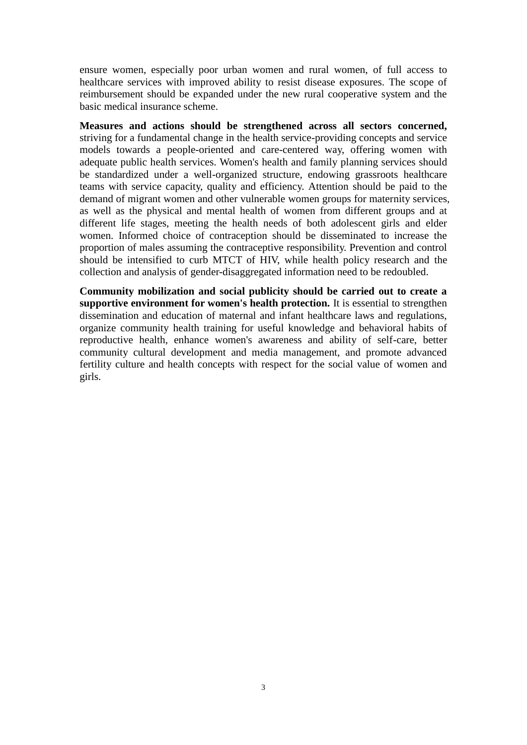ensure women, especially poor urban women and rural women, of full access to healthcare services with improved ability to resist disease exposures. The scope of reimbursement should be expanded under the new rural cooperative system and the basic medical insurance scheme.

**Measures and actions should be strengthened across all sectors concerned,** striving for a fundamental change in the health service-providing concepts and service models towards a people-oriented and care-centered way, offering women with adequate public health services. Women's health and family planning services should be standardized under a well-organized structure, endowing grassroots healthcare teams with service capacity, quality and efficiency. Attention should be paid to the demand of migrant women and other vulnerable women groups for maternity services, as well as the physical and mental health of women from different groups and at different life stages, meeting the health needs of both adolescent girls and elder women. Informed choice of contraception should be disseminated to increase the proportion of males assuming the contraceptive responsibility. Prevention and control should be intensified to curb MTCT of HIV, while health policy research and the collection and analysis of gender-disaggregated information need to be redoubled.

**Community mobilization and social publicity should be carried out to create a supportive environment for women's health protection.** It is essential to strengthen dissemination and education of maternal and infant healthcare laws and regulations, organize community health training for useful knowledge and behavioral habits of reproductive health, enhance women's awareness and ability of self-care, better community cultural development and media management, and promote advanced fertility culture and health concepts with respect for the social value of women and girls.